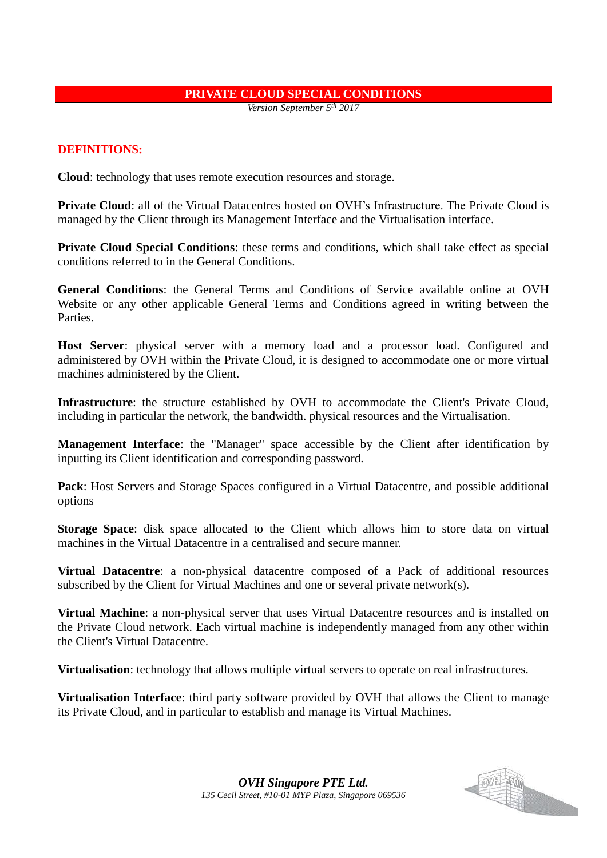#### **PRIVATE CLOUD SPECIAL CONDITIONS**

*Version September 5th 2017*

#### **DEFINITIONS:**

**Cloud**: technology that uses remote execution resources and storage.

**Private Cloud**: all of the Virtual Datacentres hosted on OVH's Infrastructure. The Private Cloud is managed by the Client through its Management Interface and the Virtualisation interface.

**Private Cloud Special Conditions**: these terms and conditions, which shall take effect as special conditions referred to in the General Conditions.

**General Conditions**: the General Terms and Conditions of Service available online at OVH Website or any other applicable General Terms and Conditions agreed in writing between the Parties.

**Host Server**: physical server with a memory load and a processor load. Configured and administered by OVH within the Private Cloud, it is designed to accommodate one or more virtual machines administered by the Client.

**Infrastructure**: the structure established by OVH to accommodate the Client's Private Cloud, including in particular the network, the bandwidth. physical resources and the Virtualisation.

**Management Interface**: the "Manager" space accessible by the Client after identification by inputting its Client identification and corresponding password.

Pack: Host Servers and Storage Spaces configured in a Virtual Datacentre, and possible additional options

**Storage Space**: disk space allocated to the Client which allows him to store data on virtual machines in the Virtual Datacentre in a centralised and secure manner.

**Virtual Datacentre**: a non-physical datacentre composed of a Pack of additional resources subscribed by the Client for Virtual Machines and one or several private network(s).

**Virtual Machine**: a non-physical server that uses Virtual Datacentre resources and is installed on the Private Cloud network. Each virtual machine is independently managed from any other within the Client's Virtual Datacentre.

**Virtualisation**: technology that allows multiple virtual servers to operate on real infrastructures.

**Virtualisation Interface**: third party software provided by OVH that allows the Client to manage its Private Cloud, and in particular to establish and manage its Virtual Machines.



*OVH Singapore PTE Ltd. 135 Cecil Street, #10-01 MYP Plaza, Singapore 069536*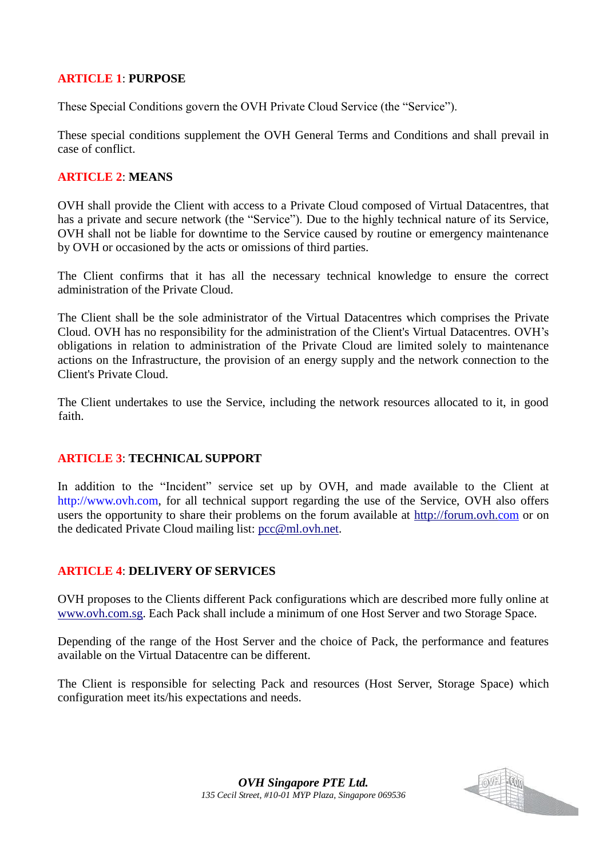### **ARTICLE 1**: **PURPOSE**

These Special Conditions govern the OVH Private Cloud Service (the "Service").

These special conditions supplement the OVH General Terms and Conditions and shall prevail in case of conflict.

## **ARTICLE 2**: **MEANS**

OVH shall provide the Client with access to a Private Cloud composed of Virtual Datacentres, that has a private and secure network (the "Service"). Due to the highly technical nature of its Service, OVH shall not be liable for downtime to the Service caused by routine or emergency maintenance by OVH or occasioned by the acts or omissions of third parties.

The Client confirms that it has all the necessary technical knowledge to ensure the correct administration of the Private Cloud.

The Client shall be the sole administrator of the Virtual Datacentres which comprises the Private Cloud. OVH has no responsibility for the administration of the Client's Virtual Datacentres. OVH's obligations in relation to administration of the Private Cloud are limited solely to maintenance actions on the Infrastructure, the provision of an energy supply and the network connection to the Client's Private Cloud.

The Client undertakes to use the Service, including the network resources allocated to it, in good faith.

# **ARTICLE 3**: **TECHNICAL SUPPORT**

In addition to the "Incident" service set up by OVH, and made available to the Client at http://www.ovh.com, for all technical support regarding the use of the Service, OVH also offers users the opportunity to share their problems on the forum available at http://forum.ovh.com or on the dedicated Private Cloud mailing list: pcc@ml.ovh.net.

#### **ARTICLE 4**: **DELIVERY OF SERVICES**

OVH proposes to the Clients different Pack configurations which are described more fully online at www.ovh.com.sg. Each Pack shall include a minimum of one Host Server and two Storage Space.

Depending of the range of the Host Server and the choice of Pack, the performance and features available on the Virtual Datacentre can be different.

The Client is responsible for selecting Pack and resources (Host Server, Storage Space) which configuration meet its/his expectations and needs.

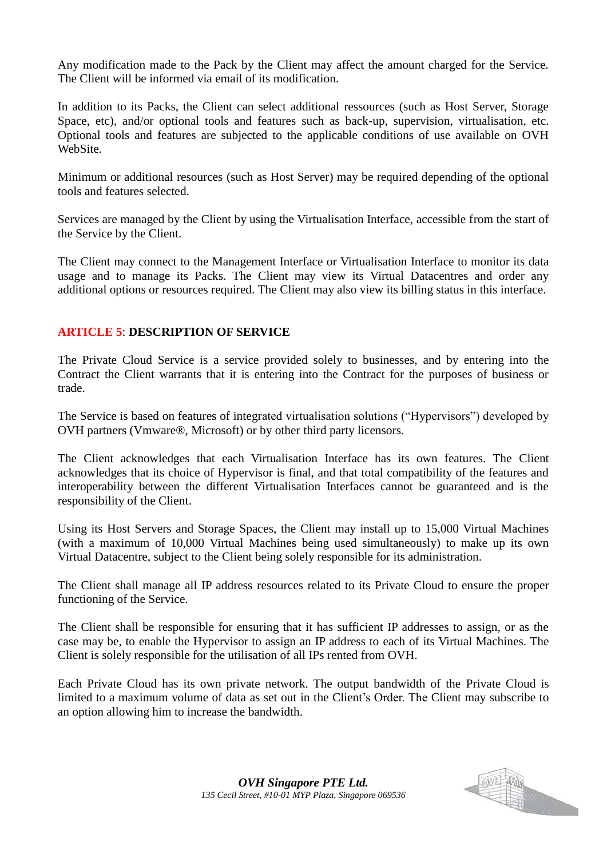Any modification made to the Pack by the Client may affect the amount charged for the Service. The Client will be informed via email of its modification.

In addition to its Packs, the Client can select additional ressources (such as Host Server, Storage Space, etc), and/or optional tools and features such as back-up, supervision, virtualisation, etc. Optional tools and features are subjected to the applicable conditions of use available on OVH WebSite.

Minimum or additional resources (such as Host Server) may be required depending of the optional tools and features selected.

Services are managed by the Client by using the Virtualisation Interface, accessible from the start of the Service by the Client.

The Client may connect to the Management Interface or Virtualisation Interface to monitor its data usage and to manage its Packs. The Client may view its Virtual Datacentres and order any additional options or resources required. The Client may also view its billing status in this interface.

## **ARTICLE 5**: **DESCRIPTION OF SERVICE**

The Private Cloud Service is a service provided solely to businesses, and by entering into the Contract the Client warrants that it is entering into the Contract for the purposes of business or trade.

The Service is based on features of integrated virtualisation solutions ("Hypervisors") developed by OVH partners (Vmware®, Microsoft) or by other third party licensors.

The Client acknowledges that each Virtualisation Interface has its own features. The Client acknowledges that its choice of Hypervisor is final, and that total compatibility of the features and interoperability between the different Virtualisation Interfaces cannot be guaranteed and is the responsibility of the Client.

Using its Host Servers and Storage Spaces, the Client may install up to 15,000 Virtual Machines (with a maximum of 10,000 Virtual Machines being used simultaneously) to make up its own Virtual Datacentre, subject to the Client being solely responsible for its administration.

The Client shall manage all IP address resources related to its Private Cloud to ensure the proper functioning of the Service.

The Client shall be responsible for ensuring that it has sufficient IP addresses to assign, or as the case may be, to enable the Hypervisor to assign an IP address to each of its Virtual Machines. The Client is solely responsible for the utilisation of all IPs rented from OVH.

Each Private Cloud has its own private network. The output bandwidth of the Private Cloud is limited to a maximum volume of data as set out in the Client's Order. The Client may subscribe to an option allowing him to increase the bandwidth.

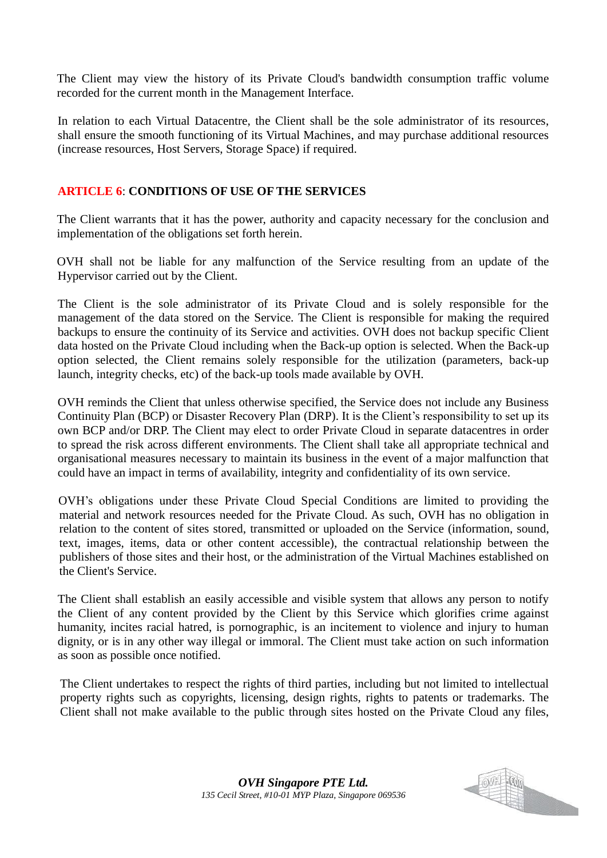The Client may view the history of its Private Cloud's bandwidth consumption traffic volume recorded for the current month in the Management Interface.

In relation to each Virtual Datacentre, the Client shall be the sole administrator of its resources, shall ensure the smooth functioning of its Virtual Machines, and may purchase additional resources (increase resources, Host Servers, Storage Space) if required.

#### **ARTICLE 6**: **CONDITIONS OF USE OF THE SERVICES**

The Client warrants that it has the power, authority and capacity necessary for the conclusion and implementation of the obligations set forth herein.

OVH shall not be liable for any malfunction of the Service resulting from an update of the Hypervisor carried out by the Client.

The Client is the sole administrator of its Private Cloud and is solely responsible for the management of the data stored on the Service. The Client is responsible for making the required backups to ensure the continuity of its Service and activities. OVH does not backup specific Client data hosted on the Private Cloud including when the Back-up option is selected. When the Back-up option selected, the Client remains solely responsible for the utilization (parameters, back-up launch, integrity checks, etc) of the back-up tools made available by OVH.

OVH reminds the Client that unless otherwise specified, the Service does not include any Business Continuity Plan (BCP) or Disaster Recovery Plan (DRP). It is the Client's responsibility to set up its own BCP and/or DRP. The Client may elect to order Private Cloud in separate datacentres in order to spread the risk across different environments. The Client shall take all appropriate technical and organisational measures necessary to maintain its business in the event of a major malfunction that could have an impact in terms of availability, integrity and confidentiality of its own service.

OVH's obligations under these Private Cloud Special Conditions are limited to providing the material and network resources needed for the Private Cloud. As such, OVH has no obligation in relation to the content of sites stored, transmitted or uploaded on the Service (information, sound, text, images, items, data or other content accessible), the contractual relationship between the publishers of those sites and their host, or the administration of the Virtual Machines established on the Client's Service.

The Client shall establish an easily accessible and visible system that allows any person to notify the Client of any content provided by the Client by this Service which glorifies crime against humanity, incites racial hatred, is pornographic, is an incitement to violence and injury to human dignity, or is in any other way illegal or immoral. The Client must take action on such information as soon as possible once notified.

The Client undertakes to respect the rights of third parties, including but not limited to intellectual property rights such as copyrights, licensing, design rights, rights to patents or trademarks. The Client shall not make available to the public through sites hosted on the Private Cloud any files,

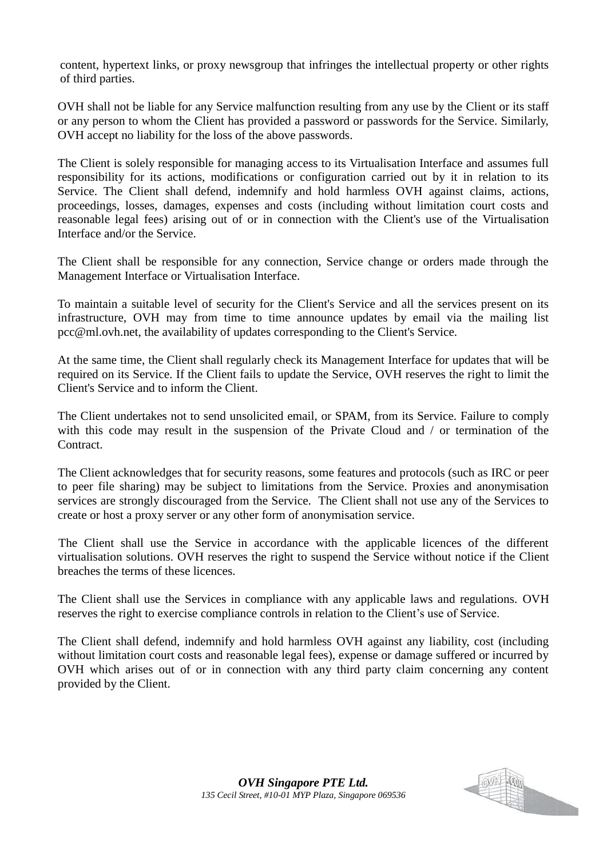content, hypertext links, or proxy newsgroup that infringes the intellectual property or other rights of third parties.

OVH shall not be liable for any Service malfunction resulting from any use by the Client or its staff or any person to whom the Client has provided a password or passwords for the Service. Similarly, OVH accept no liability for the loss of the above passwords.

The Client is solely responsible for managing access to its Virtualisation Interface and assumes full responsibility for its actions, modifications or configuration carried out by it in relation to its Service. The Client shall defend, indemnify and hold harmless OVH against claims, actions, proceedings, losses, damages, expenses and costs (including without limitation court costs and reasonable legal fees) arising out of or in connection with the Client's use of the Virtualisation Interface and/or the Service.

The Client shall be responsible for any connection, Service change or orders made through the Management Interface or Virtualisation Interface.

To maintain a suitable level of security for the Client's Service and all the services present on its infrastructure, OVH may from time to time announce updates by email via the mailing list pcc@ml.ovh.net, the availability of updates corresponding to the Client's Service.

At the same time, the Client shall regularly check its Management Interface for updates that will be required on its Service. If the Client fails to update the Service, OVH reserves the right to limit the Client's Service and to inform the Client.

The Client undertakes not to send unsolicited email, or SPAM, from its Service. Failure to comply with this code may result in the suspension of the Private Cloud and / or termination of the Contract.

The Client acknowledges that for security reasons, some features and protocols (such as IRC or peer to peer file sharing) may be subject to limitations from the Service. Proxies and anonymisation services are strongly discouraged from the Service. The Client shall not use any of the Services to create or host a proxy server or any other form of anonymisation service.

The Client shall use the Service in accordance with the applicable licences of the different virtualisation solutions. OVH reserves the right to suspend the Service without notice if the Client breaches the terms of these licences.

The Client shall use the Services in compliance with any applicable laws and regulations. OVH reserves the right to exercise compliance controls in relation to the Client's use of Service.

The Client shall defend, indemnify and hold harmless OVH against any liability, cost (including without limitation court costs and reasonable legal fees), expense or damage suffered or incurred by OVH which arises out of or in connection with any third party claim concerning any content provided by the Client.

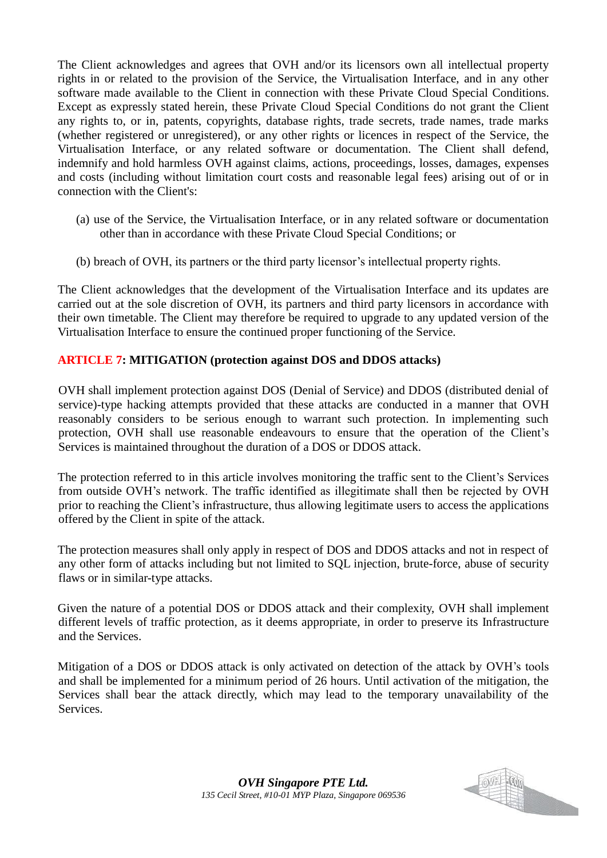The Client acknowledges and agrees that OVH and/or its licensors own all intellectual property rights in or related to the provision of the Service, the Virtualisation Interface, and in any other software made available to the Client in connection with these Private Cloud Special Conditions. Except as expressly stated herein, these Private Cloud Special Conditions do not grant the Client any rights to, or in, patents, copyrights, database rights, trade secrets, trade names, trade marks (whether registered or unregistered), or any other rights or licences in respect of the Service, the Virtualisation Interface, or any related software or documentation. The Client shall defend, indemnify and hold harmless OVH against claims, actions, proceedings, losses, damages, expenses and costs (including without limitation court costs and reasonable legal fees) arising out of or in connection with the Client's:

- (a) use of the Service, the Virtualisation Interface, or in any related software or documentation other than in accordance with these Private Cloud Special Conditions; or
- (b) breach of OVH, its partners or the third party licensor's intellectual property rights.

The Client acknowledges that the development of the Virtualisation Interface and its updates are carried out at the sole discretion of OVH, its partners and third party licensors in accordance with their own timetable. The Client may therefore be required to upgrade to any updated version of the Virtualisation Interface to ensure the continued proper functioning of the Service.

## **ARTICLE 7: MITIGATION (protection against DOS and DDOS attacks)**

OVH shall implement protection against DOS (Denial of Service) and DDOS (distributed denial of service)-type hacking attempts provided that these attacks are conducted in a manner that OVH reasonably considers to be serious enough to warrant such protection. In implementing such protection, OVH shall use reasonable endeavours to ensure that the operation of the Client's Services is maintained throughout the duration of a DOS or DDOS attack.

The protection referred to in this article involves monitoring the traffic sent to the Client's Services from outside OVH's network. The traffic identified as illegitimate shall then be rejected by OVH prior to reaching the Client's infrastructure, thus allowing legitimate users to access the applications offered by the Client in spite of the attack.

The protection measures shall only apply in respect of DOS and DDOS attacks and not in respect of any other form of attacks including but not limited to SQL injection, brute-force, abuse of security flaws or in similar-type attacks.

Given the nature of a potential DOS or DDOS attack and their complexity, OVH shall implement different levels of traffic protection, as it deems appropriate, in order to preserve its Infrastructure and the Services.

Mitigation of a DOS or DDOS attack is only activated on detection of the attack by OVH's tools and shall be implemented for a minimum period of 26 hours. Until activation of the mitigation, the Services shall bear the attack directly, which may lead to the temporary unavailability of the Services.

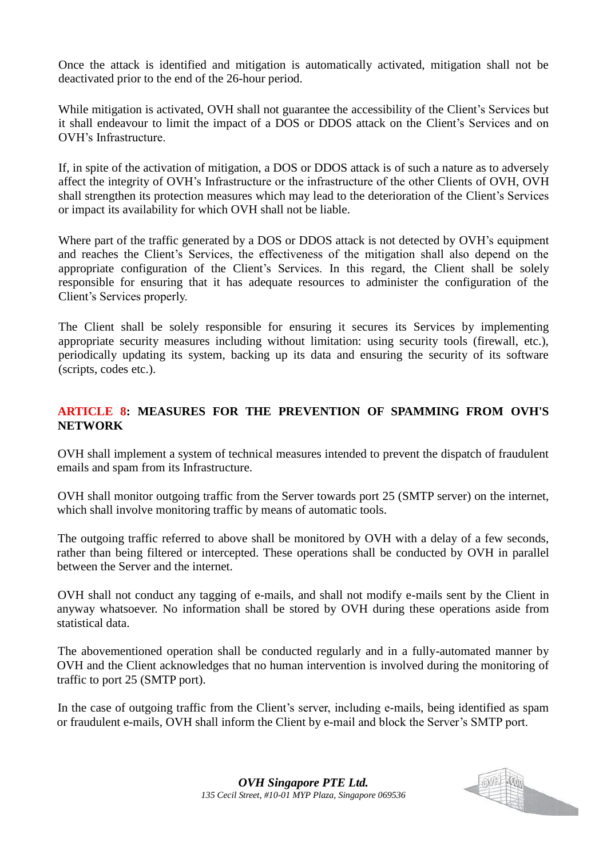Once the attack is identified and mitigation is automatically activated, mitigation shall not be deactivated prior to the end of the 26-hour period.

While mitigation is activated, OVH shall not guarantee the accessibility of the Client's Services but it shall endeavour to limit the impact of a DOS or DDOS attack on the Client's Services and on OVH's Infrastructure.

If, in spite of the activation of mitigation, a DOS or DDOS attack is of such a nature as to adversely affect the integrity of OVH's Infrastructure or the infrastructure of the other Clients of OVH, OVH shall strengthen its protection measures which may lead to the deterioration of the Client's Services or impact its availability for which OVH shall not be liable.

Where part of the traffic generated by a DOS or DDOS attack is not detected by OVH's equipment and reaches the Client's Services, the effectiveness of the mitigation shall also depend on the appropriate configuration of the Client's Services. In this regard, the Client shall be solely responsible for ensuring that it has adequate resources to administer the configuration of the Client's Services properly.

The Client shall be solely responsible for ensuring it secures its Services by implementing appropriate security measures including without limitation: using security tools (firewall, etc.), periodically updating its system, backing up its data and ensuring the security of its software (scripts, codes etc.).

## **ARTICLE 8: MEASURES FOR THE PREVENTION OF SPAMMING FROM OVH'S NETWORK**

OVH shall implement a system of technical measures intended to prevent the dispatch of fraudulent emails and spam from its Infrastructure.

OVH shall monitor outgoing traffic from the Server towards port 25 (SMTP server) on the internet, which shall involve monitoring traffic by means of automatic tools.

The outgoing traffic referred to above shall be monitored by OVH with a delay of a few seconds, rather than being filtered or intercepted. These operations shall be conducted by OVH in parallel between the Server and the internet.

OVH shall not conduct any tagging of e-mails, and shall not modify e-mails sent by the Client in anyway whatsoever. No information shall be stored by OVH during these operations aside from statistical data.

The abovementioned operation shall be conducted regularly and in a fully-automated manner by OVH and the Client acknowledges that no human intervention is involved during the monitoring of traffic to port 25 (SMTP port).

In the case of outgoing traffic from the Client's server, including e-mails, being identified as spam or fraudulent e-mails, OVH shall inform the Client by e-mail and block the Server's SMTP port.

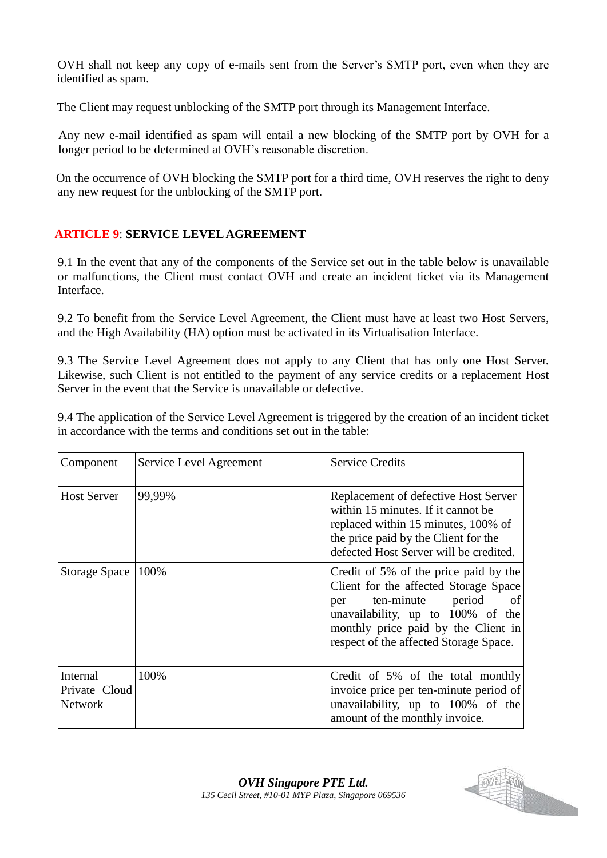OVH shall not keep any copy of e-mails sent from the Server's SMTP port, even when they are identified as spam.

The Client may request unblocking of the SMTP port through its Management Interface.

Any new e-mail identified as spam will entail a new blocking of the SMTP port by OVH for a longer period to be determined at OVH's reasonable discretion.

On the occurrence of OVH blocking the SMTP port for a third time, OVH reserves the right to deny any new request for the unblocking of the SMTP port.

# **ARTICLE 9**: **SERVICE LEVEL AGREEMENT**

9.1 In the event that any of the components of the Service set out in the table below is unavailable or malfunctions, the Client must contact OVH and create an incident ticket via its Management Interface.

9.2 To benefit from the Service Level Agreement, the Client must have at least two Host Servers, and the High Availability (HA) option must be activated in its Virtualisation Interface.

9.3 The Service Level Agreement does not apply to any Client that has only one Host Server. Likewise, such Client is not entitled to the payment of any service credits or a replacement Host Server in the event that the Service is unavailable or defective.

9.4 The application of the Service Level Agreement is triggered by the creation of an incident ticket in accordance with the terms and conditions set out in the table:

| Component                                   | Service Level Agreement | <b>Service Credits</b>                                                                                                                                                                                                              |
|---------------------------------------------|-------------------------|-------------------------------------------------------------------------------------------------------------------------------------------------------------------------------------------------------------------------------------|
| <b>Host Server</b>                          | 99,99%                  | Replacement of defective Host Server<br>within 15 minutes. If it cannot be<br>replaced within 15 minutes, 100% of<br>the price paid by the Client for the<br>defected Host Server will be credited.                                 |
| <b>Storage Space</b>                        | 100%                    | Credit of 5% of the price paid by the<br>Client for the affected Storage Space<br>per ten-minute period<br>of<br>unavailability, up to 100% of the<br>monthly price paid by the Client in<br>respect of the affected Storage Space. |
| Internal<br>Private Cloud<br><b>Network</b> | 100%                    | Credit of 5% of the total monthly<br>invoice price per ten-minute period of<br>unavailability, up to 100% of the<br>amount of the monthly invoice.                                                                                  |

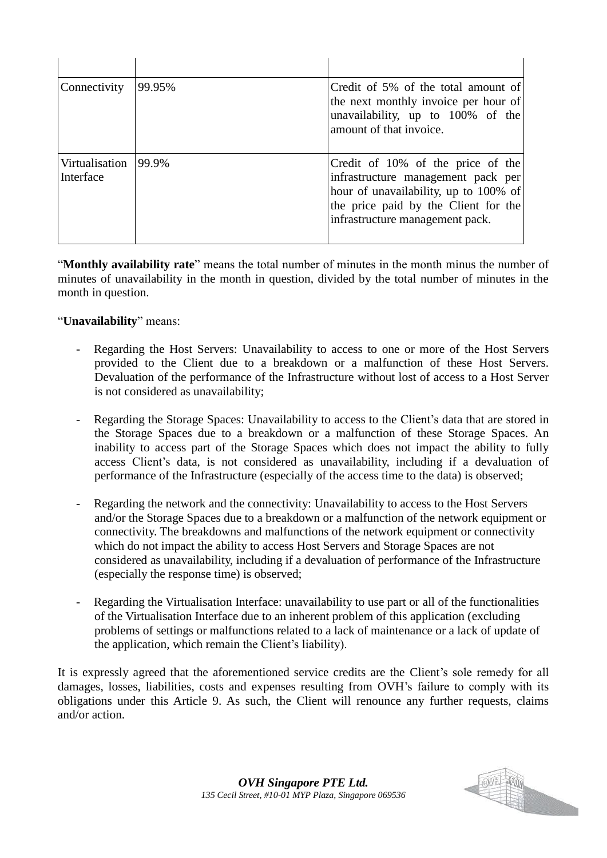| Connectivity                | 99.95% | Credit of 5% of the total amount of<br>the next monthly invoice per hour of<br>unavailability, up to 100% of the<br>amount of that invoice.                                                 |
|-----------------------------|--------|---------------------------------------------------------------------------------------------------------------------------------------------------------------------------------------------|
| Virtualisation<br>Interface | 99.9%  | Credit of 10% of the price of the<br>infrastructure management pack per<br>hour of unavailability, up to 100% of<br>the price paid by the Client for the<br>infrastructure management pack. |

"**Monthly availability rate**" means the total number of minutes in the month minus the number of minutes of unavailability in the month in question, divided by the total number of minutes in the month in question.

"**Unavailability**" means:

- Regarding the Host Servers: Unavailability to access to one or more of the Host Servers provided to the Client due to a breakdown or a malfunction of these Host Servers. Devaluation of the performance of the Infrastructure without lost of access to a Host Server is not considered as unavailability;
- Regarding the Storage Spaces: Unavailability to access to the Client's data that are stored in the Storage Spaces due to a breakdown or a malfunction of these Storage Spaces. An inability to access part of the Storage Spaces which does not impact the ability to fully access Client's data, is not considered as unavailability, including if a devaluation of performance of the Infrastructure (especially of the access time to the data) is observed;
- Regarding the network and the connectivity: Unavailability to access to the Host Servers and/or the Storage Spaces due to a breakdown or a malfunction of the network equipment or connectivity. The breakdowns and malfunctions of the network equipment or connectivity which do not impact the ability to access Host Servers and Storage Spaces are not considered as unavailability, including if a devaluation of performance of the Infrastructure (especially the response time) is observed;
- Regarding the Virtualisation Interface: unavailability to use part or all of the functionalities of the Virtualisation Interface due to an inherent problem of this application (excluding problems of settings or malfunctions related to a lack of maintenance or a lack of update of the application, which remain the Client's liability).

It is expressly agreed that the aforementioned service credits are the Client's sole remedy for all damages, losses, liabilities, costs and expenses resulting from OVH's failure to comply with its obligations under this Article 9. As such, the Client will renounce any further requests, claims and/or action.

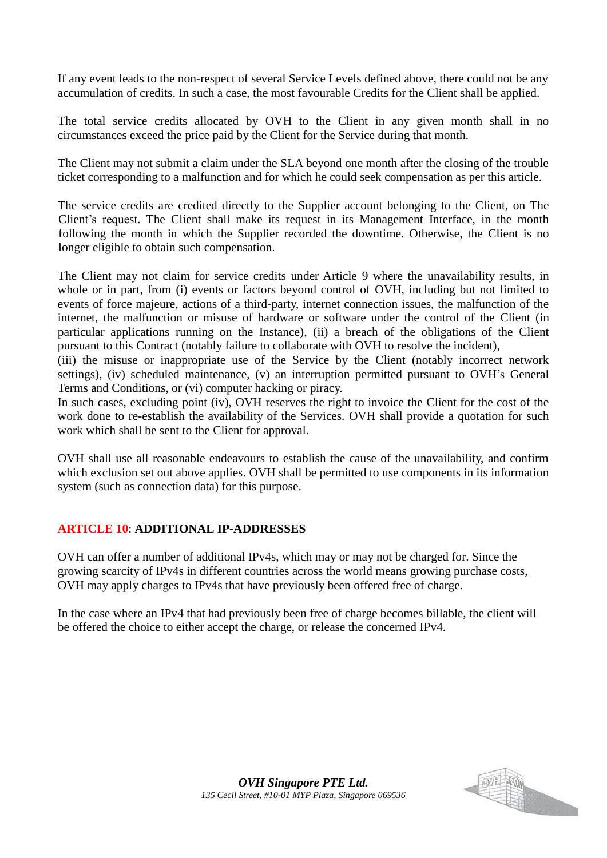If any event leads to the non-respect of several Service Levels defined above, there could not be any accumulation of credits. In such a case, the most favourable Credits for the Client shall be applied.

The total service credits allocated by OVH to the Client in any given month shall in no circumstances exceed the price paid by the Client for the Service during that month.

The Client may not submit a claim under the SLA beyond one month after the closing of the trouble ticket corresponding to a malfunction and for which he could seek compensation as per this article.

The service credits are credited directly to the Supplier account belonging to the Client, on The Client's request. The Client shall make its request in its Management Interface, in the month following the month in which the Supplier recorded the downtime. Otherwise, the Client is no longer eligible to obtain such compensation.

The Client may not claim for service credits under Article 9 where the unavailability results, in whole or in part, from (i) events or factors beyond control of OVH, including but not limited to events of force majeure, actions of a third-party, internet connection issues, the malfunction of the internet, the malfunction or misuse of hardware or software under the control of the Client (in particular applications running on the Instance), (ii) a breach of the obligations of the Client pursuant to this Contract (notably failure to collaborate with OVH to resolve the incident),

(iii) the misuse or inappropriate use of the Service by the Client (notably incorrect network settings), (iv) scheduled maintenance, (v) an interruption permitted pursuant to OVH's General Terms and Conditions, or (vi) computer hacking or piracy.

In such cases, excluding point (iv), OVH reserves the right to invoice the Client for the cost of the work done to re-establish the availability of the Services. OVH shall provide a quotation for such work which shall be sent to the Client for approval.

OVH shall use all reasonable endeavours to establish the cause of the unavailability, and confirm which exclusion set out above applies. OVH shall be permitted to use components in its information system (such as connection data) for this purpose.

# **ARTICLE 10**: **ADDITIONAL IP-ADDRESSES**

OVH can offer a number of additional IPv4s, which may or may not be charged for. Since the growing scarcity of IPv4s in different countries across the world means growing purchase costs, OVH may apply charges to IPv4s that have previously been offered free of charge.

In the case where an IPv4 that had previously been free of charge becomes billable, the client will be offered the choice to either accept the charge, or release the concerned IPv4.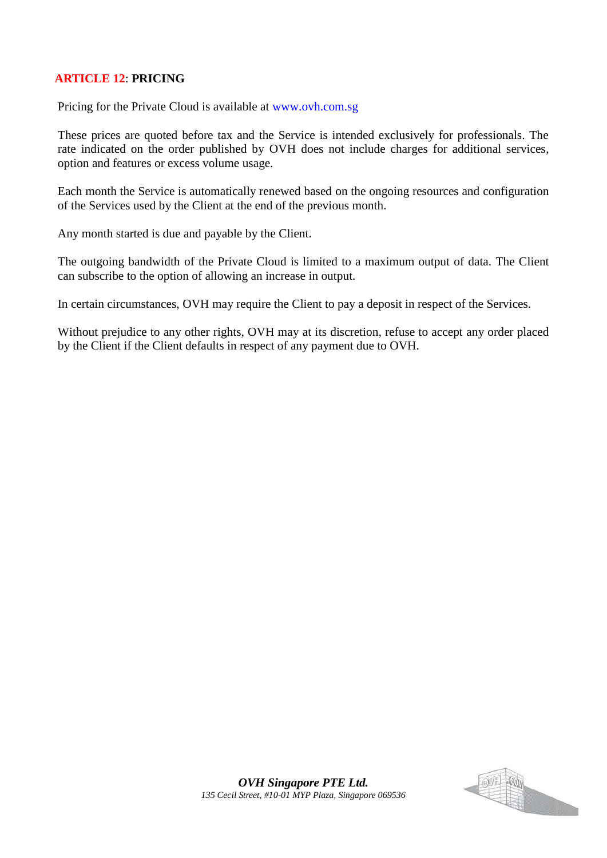## **ARTICLE 12**: **PRICING**

Pricing for the Private Cloud is available at www.ovh.com.sg

These prices are quoted before tax and the Service is intended exclusively for professionals. The rate indicated on the order published by OVH does not include charges for additional services, option and features or excess volume usage.

Each month the Service is automatically renewed based on the ongoing resources and configuration of the Services used by the Client at the end of the previous month.

Any month started is due and payable by the Client.

The outgoing bandwidth of the Private Cloud is limited to a maximum output of data. The Client can subscribe to the option of allowing an increase in output.

In certain circumstances, OVH may require the Client to pay a deposit in respect of the Services.

Without prejudice to any other rights, OVH may at its discretion, refuse to accept any order placed by the Client if the Client defaults in respect of any payment due to OVH.

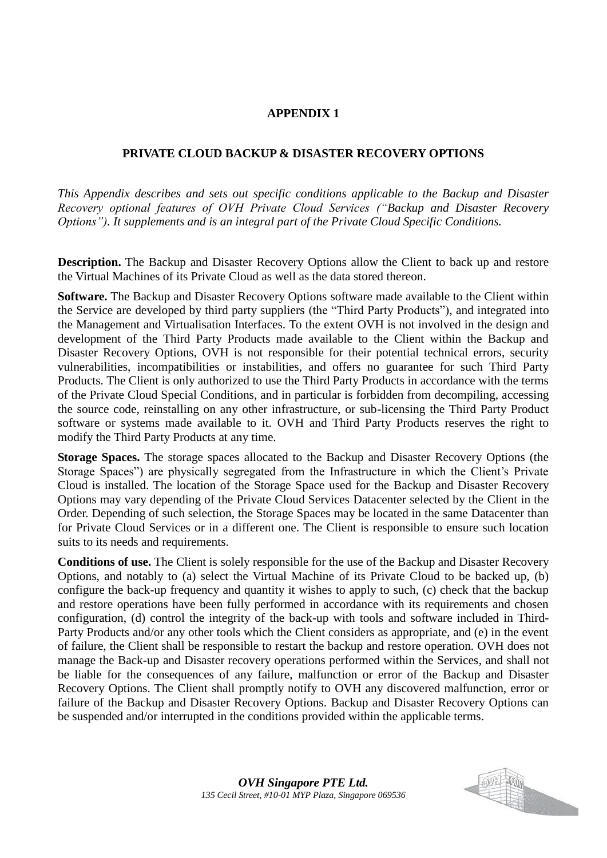#### **APPENDIX 1**

#### **PRIVATE CLOUD BACKUP & DISASTER RECOVERY OPTIONS**

*This Appendix describes and sets out specific conditions applicable to the Backup and Disaster Recovery optional features of OVH Private Cloud Services ("Backup and Disaster Recovery Options"). It supplements and is an integral part of the Private Cloud Specific Conditions.* 

**Description.** The Backup and Disaster Recovery Options allow the Client to back up and restore the Virtual Machines of its Private Cloud as well as the data stored thereon.

**Software.** The Backup and Disaster Recovery Options software made available to the Client within the Service are developed by third party suppliers (the "Third Party Products"), and integrated into the Management and Virtualisation Interfaces. To the extent OVH is not involved in the design and development of the Third Party Products made available to the Client within the Backup and Disaster Recovery Options, OVH is not responsible for their potential technical errors, security vulnerabilities, incompatibilities or instabilities, and offers no guarantee for such Third Party Products. The Client is only authorized to use the Third Party Products in accordance with the terms of the Private Cloud Special Conditions, and in particular is forbidden from decompiling, accessing the source code, reinstalling on any other infrastructure, or sub-licensing the Third Party Product software or systems made available to it. OVH and Third Party Products reserves the right to modify the Third Party Products at any time.

**Storage Spaces.** The storage spaces allocated to the Backup and Disaster Recovery Options (the Storage Spaces") are physically segregated from the Infrastructure in which the Client's Private Cloud is installed. The location of the Storage Space used for the Backup and Disaster Recovery Options may vary depending of the Private Cloud Services Datacenter selected by the Client in the Order. Depending of such selection, the Storage Spaces may be located in the same Datacenter than for Private Cloud Services or in a different one. The Client is responsible to ensure such location suits to its needs and requirements.

**Conditions of use.** The Client is solely responsible for the use of the Backup and Disaster Recovery Options, and notably to (a) select the Virtual Machine of its Private Cloud to be backed up, (b) configure the back-up frequency and quantity it wishes to apply to such, (c) check that the backup and restore operations have been fully performed in accordance with its requirements and chosen configuration, (d) control the integrity of the back-up with tools and software included in Third-Party Products and/or any other tools which the Client considers as appropriate, and (e) in the event of failure, the Client shall be responsible to restart the backup and restore operation. OVH does not manage the Back-up and Disaster recovery operations performed within the Services, and shall not be liable for the consequences of any failure, malfunction or error of the Backup and Disaster Recovery Options. The Client shall promptly notify to OVH any discovered malfunction, error or failure of the Backup and Disaster Recovery Options. Backup and Disaster Recovery Options can be suspended and/or interrupted in the conditions provided within the applicable terms.